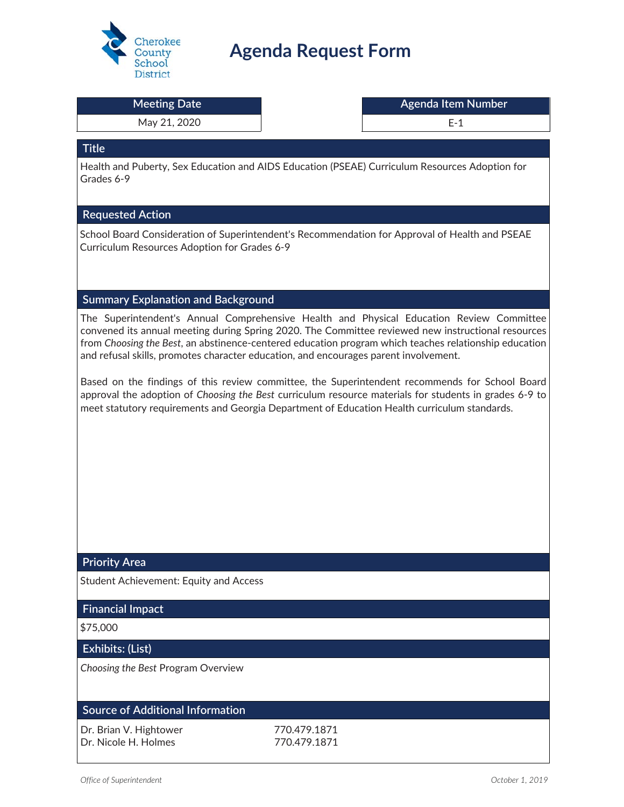

# **Agenda Request Form**

| <b>District</b>                               |                                                                                                                                                                                                                                                                                                                                                                                                 |
|-----------------------------------------------|-------------------------------------------------------------------------------------------------------------------------------------------------------------------------------------------------------------------------------------------------------------------------------------------------------------------------------------------------------------------------------------------------|
| <b>Meeting Date</b>                           | <b>Agenda Item Number</b>                                                                                                                                                                                                                                                                                                                                                                       |
| May 21, 2020                                  | $E-1$                                                                                                                                                                                                                                                                                                                                                                                           |
| <b>Title</b>                                  |                                                                                                                                                                                                                                                                                                                                                                                                 |
| Grades 6-9                                    | Health and Puberty, Sex Education and AIDS Education (PSEAE) Curriculum Resources Adoption for                                                                                                                                                                                                                                                                                                  |
| <b>Requested Action</b>                       |                                                                                                                                                                                                                                                                                                                                                                                                 |
| Curriculum Resources Adoption for Grades 6-9  | School Board Consideration of Superintendent's Recommendation for Approval of Health and PSEAE                                                                                                                                                                                                                                                                                                  |
| <b>Summary Explanation and Background</b>     |                                                                                                                                                                                                                                                                                                                                                                                                 |
|                                               | The Superintendent's Annual Comprehensive Health and Physical Education Review Committee<br>convened its annual meeting during Spring 2020. The Committee reviewed new instructional resources<br>from Choosing the Best, an abstinence-centered education program which teaches relationship education<br>and refusal skills, promotes character education, and encourages parent involvement. |
|                                               | Based on the findings of this review committee, the Superintendent recommends for School Board<br>approval the adoption of Choosing the Best curriculum resource materials for students in grades 6-9 to<br>meet statutory requirements and Georgia Department of Education Health curriculum standards.                                                                                        |
| <b>Priority Area</b>                          |                                                                                                                                                                                                                                                                                                                                                                                                 |
| <b>Student Achievement: Equity and Access</b> |                                                                                                                                                                                                                                                                                                                                                                                                 |
| <b>Financial Impact</b>                       |                                                                                                                                                                                                                                                                                                                                                                                                 |
| \$75,000                                      |                                                                                                                                                                                                                                                                                                                                                                                                 |
| Exhibits: (List)                              |                                                                                                                                                                                                                                                                                                                                                                                                 |
| Choosing the Best Program Overview            |                                                                                                                                                                                                                                                                                                                                                                                                 |
| <b>Source of Additional Information</b>       |                                                                                                                                                                                                                                                                                                                                                                                                 |
| Dr. Brian V. Hightower                        | 770.479.1871                                                                                                                                                                                                                                                                                                                                                                                    |

Dr. Nicole H. Holmes 770.479.1871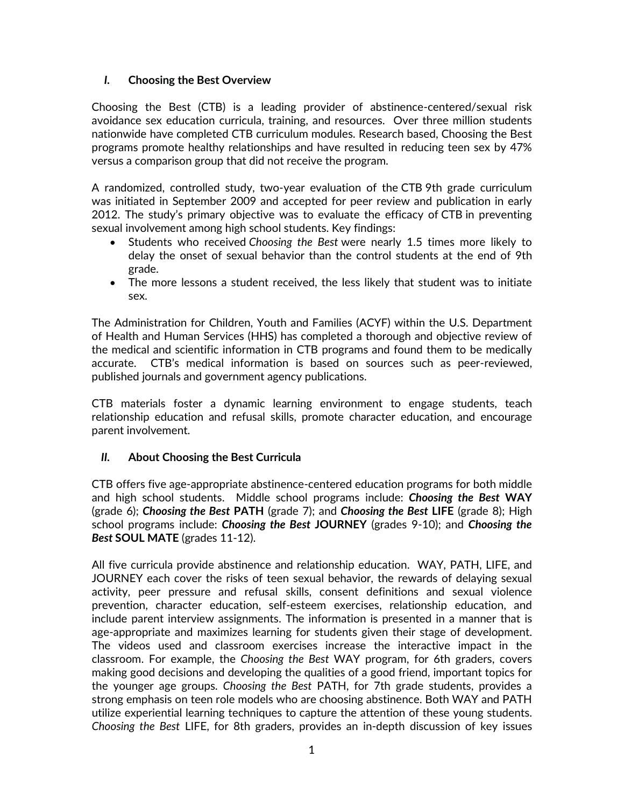#### *I.* **Choosing the Best Overview**

Choosing the Best (CTB) is a leading provider of abstinence-centered/sexual risk avoidance sex education curricula, training, and resources. Over three million students nationwide have completed CTB curriculum modules. Research based, Choosing the Best programs promote healthy relationships and have resulted in reducing teen sex by 47% versus a comparison group that did not receive the program.

A randomized, controlled study, two-year evaluation of the CTB 9th grade curriculum was initiated in September 2009 and accepted for peer review and publication in early 2012. The study's primary objective was to evaluate the efficacy of CTB in preventing sexual involvement among high school students. Key findings:

- x Students who received *Choosing the Best* were nearly 1.5 times more likely to delay the onset of sexual behavior than the control students at the end of 9th grade.
- The more lessons a student received, the less likely that student was to initiate sex.

The Administration for Children, Youth and Families (ACYF) within the U.S. Department of Health and Human Services (HHS) has completed a thorough and objective review of the medical and scientific information in CTB programs and found them to be medically accurate. CTB's medical information is based on sources such as peer-reviewed, published journals and government agency publications.

CTB materials foster a dynamic learning environment to engage students, teach relationship education and refusal skills, promote character education, and encourage parent involvement.

### *II.* **About Choosing the Best Curricula**

CTB offers five age-appropriate abstinence-centered education programs for both middle and high school students. Middle school programs include: *Choosing the Best* **WAY** (grade 6); *Choosing the Best* **PATH** (grade 7); and *Choosing the Best* **LIFE** (grade 8); High school programs include: *Choosing the Best* **JOURNEY** (grades 9-10); and *Choosing the Best* **SOUL MATE** (grades 11-12).

All five curricula provide abstinence and relationship education. WAY, PATH, LIFE, and JOURNEY each cover the risks of teen sexual behavior, the rewards of delaying sexual activity, peer pressure and refusal skills, consent definitions and sexual violence prevention, character education, self-esteem exercises, relationship education, and include parent interview assignments. The information is presented in a manner that is age-appropriate and maximizes learning for students given their stage of development. The videos used and classroom exercises increase the interactive impact in the classroom. For example, the *Choosing the Best* WAY program, for 6th graders, covers making good decisions and developing the qualities of a good friend, important topics for the younger age groups. *Choosing the Best* PATH, for 7th grade students, provides a strong emphasis on teen role models who are choosing abstinence. Both WAY and PATH utilize experiential learning techniques to capture the attention of these young students. *Choosing the Best* LIFE, for 8th graders, provides an in-depth discussion of key issues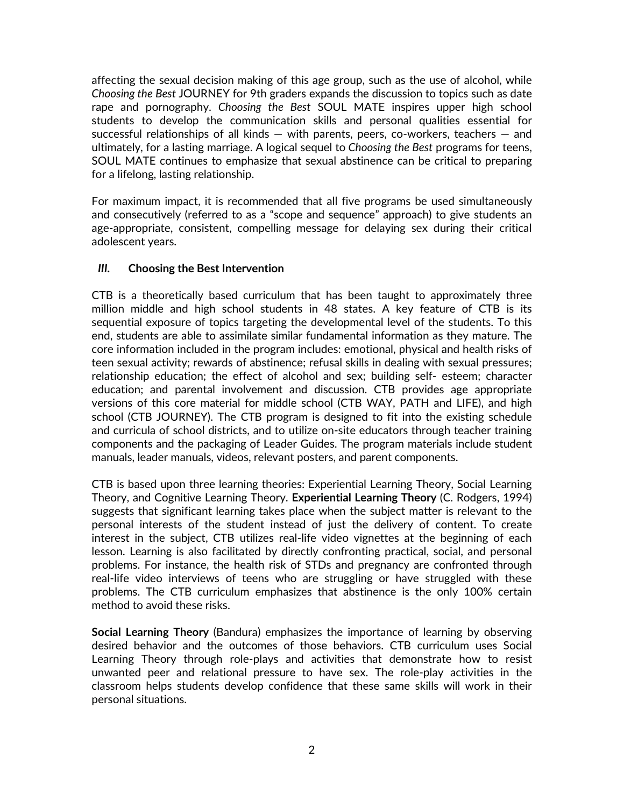affecting the sexual decision making of this age group, such as the use of alcohol, while *Choosing the Best* JOURNEY for 9th graders expands the discussion to topics such as date rape and pornography. *Choosing the Best* SOUL MATE inspires upper high school students to develop the communication skills and personal qualities essential for successful relationships of all kinds — with parents, peers, co-workers, teachers — and ultimately, for a lasting marriage. A logical sequel to *Choosing the Best* programs for teens, SOUL MATE continues to emphasize that sexual abstinence can be critical to preparing for a lifelong, lasting relationship.

For maximum impact, it is recommended that all five programs be used simultaneously and consecutively (referred to as a "scope and sequence" approach) to give students an age-appropriate, consistent, compelling message for delaying sex during their critical adolescent years.

#### *III.* **Choosing the Best Intervention**

CTB is a theoretically based curriculum that has been taught to approximately three million middle and high school students in 48 states. A key feature of CTB is its sequential exposure of topics targeting the developmental level of the students. To this end, students are able to assimilate similar fundamental information as they mature. The core information included in the program includes: emotional, physical and health risks of teen sexual activity; rewards of abstinence; refusal skills in dealing with sexual pressures; relationship education; the effect of alcohol and sex; building self- esteem; character education; and parental involvement and discussion. CTB provides age appropriate versions of this core material for middle school (CTB WAY, PATH and LIFE), and high school (CTB JOURNEY). The CTB program is designed to fit into the existing schedule and curricula of school districts, and to utilize on-site educators through teacher training components and the packaging of Leader Guides. The program materials include student manuals, leader manuals, videos, relevant posters, and parent components.

CTB is based upon three learning theories: Experiential Learning Theory, Social Learning Theory, and Cognitive Learning Theory. **Experiential Learning Theory** (C. Rodgers, 1994) suggests that significant learning takes place when the subject matter is relevant to the personal interests of the student instead of just the delivery of content. To create interest in the subject, CTB utilizes real-life video vignettes at the beginning of each lesson. Learning is also facilitated by directly confronting practical, social, and personal problems. For instance, the health risk of STDs and pregnancy are confronted through real-life video interviews of teens who are struggling or have struggled with these problems. The CTB curriculum emphasizes that abstinence is the only 100% certain method to avoid these risks.

**Social Learning Theory** (Bandura) emphasizes the importance of learning by observing desired behavior and the outcomes of those behaviors. CTB curriculum uses Social Learning Theory through role-plays and activities that demonstrate how to resist unwanted peer and relational pressure to have sex. The role-play activities in the classroom helps students develop confidence that these same skills will work in their personal situations.